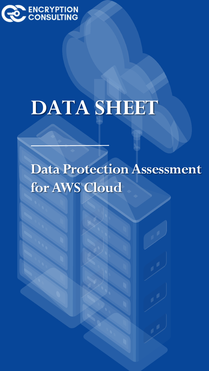

# **DATA SHEET**

**Data Protection Assessment for AWS Cloud**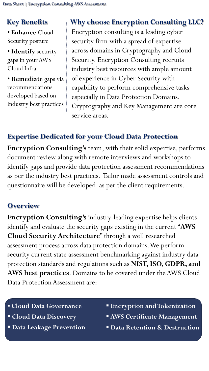## **Key Benefits**

• **Enhance** Cloud Security posture

• **Identify** security gaps in your AWS Cloud Infra

• **Remediate** gaps via recommendations developed based on Industry best practices

# **Why choose Encryption Consulting LLC?**

Encryption consulting is a leading cyber security firm with a spread of expertise across domains in Cryptography and Cloud Security. Encryption Consulting recruits industry best resources with ample amount of experience in Cyber Security with capability to perform comprehensive tasks especially in Data Protection Domains. Cryptography and Key Management are core service areas.

## **Expertise Dedicated for your Cloud Data Protection**

**Encryption Consulting's** team, with their solid expertise, performs document review along with remote interviews and workshops to identify gaps and provide data protection assessment recommendations as per the industry best practices. Tailor made assessment controls and questionnaire will be developed as per the client requirements.

## **Overview**

**Encryption Consulting's** industry-leading expertise helps clients identify and evaluate the security gaps existing in the current "**AWS Cloud Security Architecture**" through a well researched assessment process across data protection domains. We perform security current state assessment benchmarking against industry data protection standards and regulations such as **NIST, ISO, GDPR, and AWS best practices**. Domains to be covered under the AWS Cloud Data Protection Assessment are:

- **Cloud Data Governance**
- **Cloud Data Discovery**
- **Data Leakage Prevention**
- **Encryption and Tokenization**
- **AWS Certificate Management**
- **Data Retention & Destruction**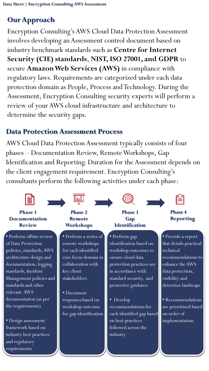# **Our Approach**

Encryption Consulting's AWS Cloud Data Protection Assessment involves developing an Assessment control document based on industry benchmark standards such as **Centre for Internet Security (CIE) standards**, **NIST, ISO 27001, and GDPR** to secure **Amazon Web Services (AWS)** in compliance with regulatory laws. Requirements are categorized under each data protection domain as People, Process and Technology. During the Assessment, Encryption Consulting security experts will perform a review of your AWS cloud infrastructure and architecture to determine the security gaps.

## **Data Protection Assessment Process**

AWS Cloud Data Protection Assessment typically consists of four phases – Documentation Review, Remote Workshops, Gap Identification and Reporting. Duration for the Assessment depends on the client engagement requirement. Encryption Consulting's consultants perform the following activities under each phase: